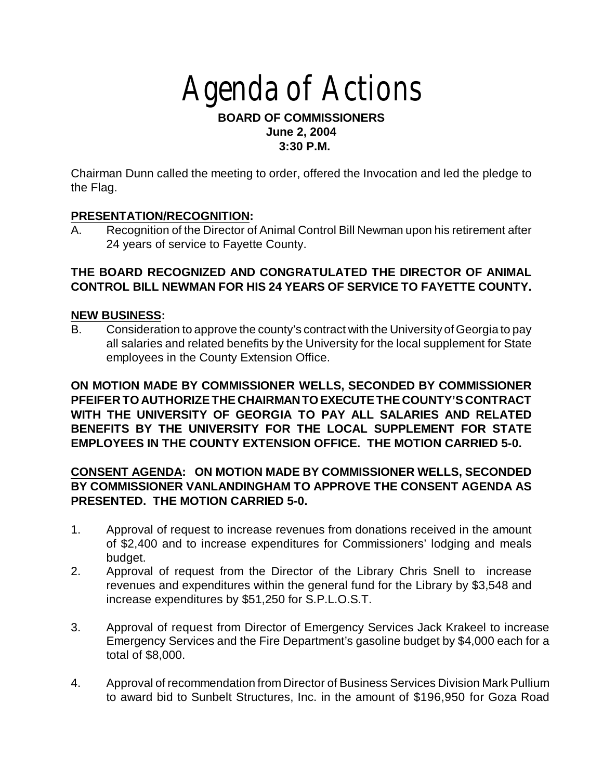# Agenda of Actions

### **BOARD OF COMMISSIONERS June 2, 2004 3:30 P.M.**

Chairman Dunn called the meeting to order, offered the Invocation and led the pledge to the Flag.

## **PRESENTATION/RECOGNITION:**

A. Recognition of the Director of Animal Control Bill Newman upon his retirement after 24 years of service to Fayette County.

## **THE BOARD RECOGNIZED AND CONGRATULATED THE DIRECTOR OF ANIMAL CONTROL BILL NEWMAN FOR HIS 24 YEARS OF SERVICE TO FAYETTE COUNTY.**

## **NEW BUSINESS:**

B. Consideration to approve the county's contract with the University of Georgia to pay all salaries and related benefits by the University for the local supplement for State employees in the County Extension Office.

**ON MOTION MADE BY COMMISSIONER WELLS, SECONDED BY COMMISSIONER PFEIFER TO AUTHORIZE THE CHAIRMAN TO EXECUTE THE COUNTY'S CONTRACT WITH THE UNIVERSITY OF GEORGIA TO PAY ALL SALARIES AND RELATED BENEFITS BY THE UNIVERSITY FOR THE LOCAL SUPPLEMENT FOR STATE EMPLOYEES IN THE COUNTY EXTENSION OFFICE. THE MOTION CARRIED 5-0.**

## **CONSENT AGENDA: ON MOTION MADE BY COMMISSIONER WELLS, SECONDED BY COMMISSIONER VANLANDINGHAM TO APPROVE THE CONSENT AGENDA AS PRESENTED. THE MOTION CARRIED 5-0.**

- 1. Approval of request to increase revenues from donations received in the amount of \$2,400 and to increase expenditures for Commissioners' lodging and meals budget.
- 2. Approval of request from the Director of the Library Chris Snell to increase revenues and expenditures within the general fund for the Library by \$3,548 and increase expenditures by \$51,250 for S.P.L.O.S.T.
- 3. Approval of request from Director of Emergency Services Jack Krakeel to increase Emergency Services and the Fire Department's gasoline budget by \$4,000 each for a total of \$8,000.
- 4. Approval of recommendation from Director of Business Services Division Mark Pullium to award bid to Sunbelt Structures, Inc. in the amount of \$196,950 for Goza Road